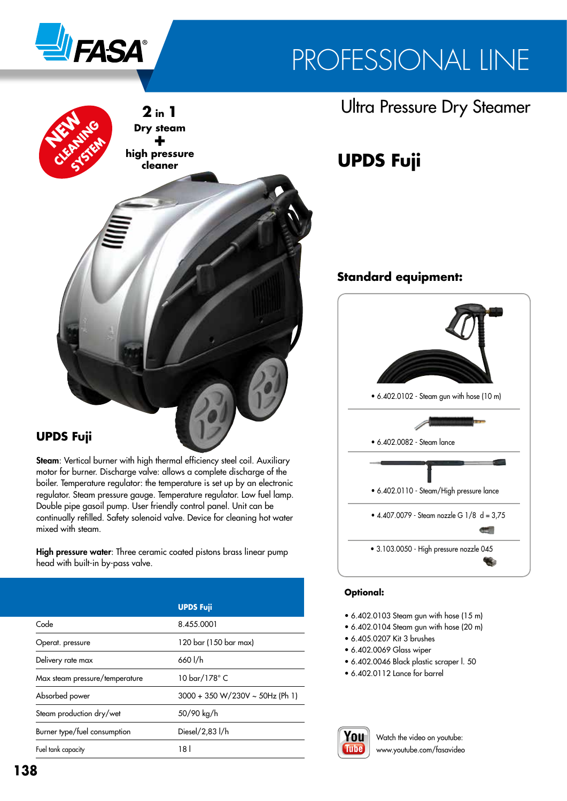

# PROFESSIONAL LINE



### **UPDS Fuji**

Steam: Vertical burner with high thermal efficiency steel coil. Auxiliary motor for burner. Discharge valve: allows a complete discharge of the boiler. Temperature regulator: the temperature is set up by an electronic regulator. Steam pressure gauge. Temperature regulator. Low fuel lamp. Double pipe gasoil pump. User friendly control panel. Unit can be continually refilled. Safety solenoid valve. Device for cleaning hot water mixed with steam.

High pressure water: Three ceramic coated pistons brass linear pump head with built-in by-pass valve.

|                                | <b>UPDS Fuji</b>                |
|--------------------------------|---------------------------------|
| Code                           | 8.455.0001                      |
| Operat. pressure               | 120 bar (150 bar max)           |
| Delivery rate max              | 660 l/h                         |
| Max steam pressure/temperature | 10 bar/178° C                   |
| Absorbed power                 | 3000 + 350 W/230V ~ 50Hz (Ph 1) |
| Steam production dry/wet       | 50/90 kg/h                      |
| Burner type/fuel consumption   | Diesel/2,83 l/h                 |
| Fuel tank capacity             | 181                             |

## **Ultra Pressure Dry Steamer**

# **UPDS Fuji**

### **Standard equipment:**



#### **Optional:**

- 6.402.0103 Steam gun with hose (15 m)
- 6.402.0104 Steam gun with hose (20 m)
- 6.405.0207 Kit 3 brushes
- 6.402.0069 Glass wiper
- 6.402.0046 Black plastic scraper l. 50
- 6.402.0112 Lance for barrel



Watch the video on youtube: www.youtube.com/fasavideo